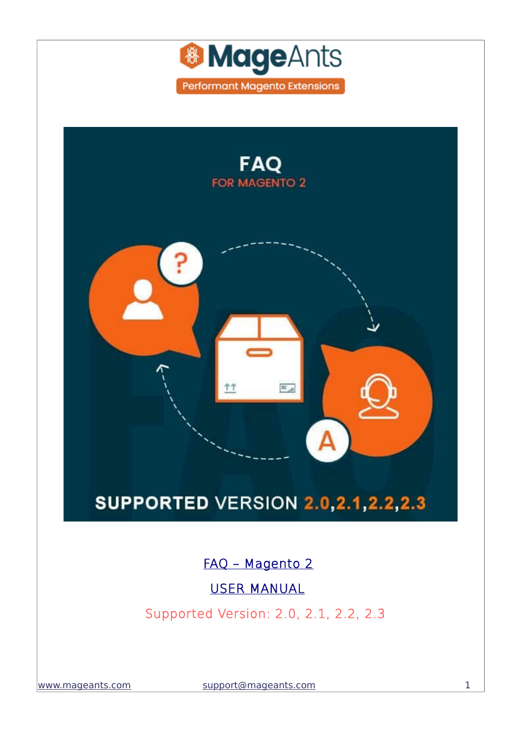



[www.mageants.com](http://www.mageants.com/) [support@mageants.com](mailto:support@mageants.com) 1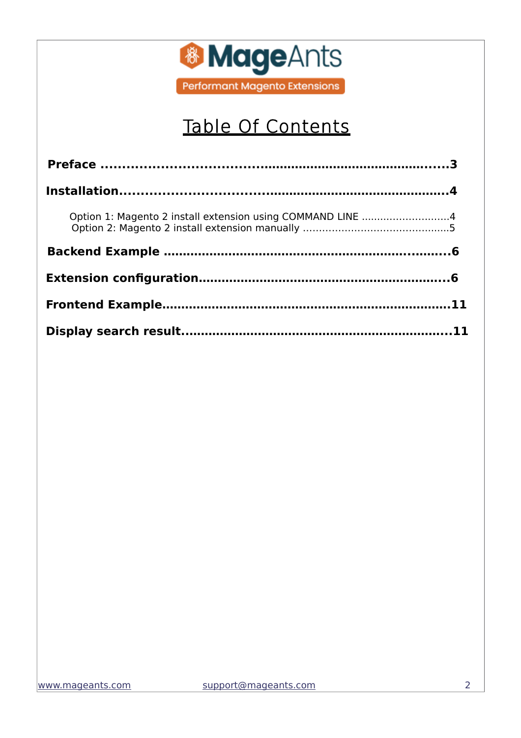

# Table Of Contents

| Option 1: Magento 2 install extension using COMMAND LINE 4 |  |
|------------------------------------------------------------|--|
|                                                            |  |
|                                                            |  |
|                                                            |  |
|                                                            |  |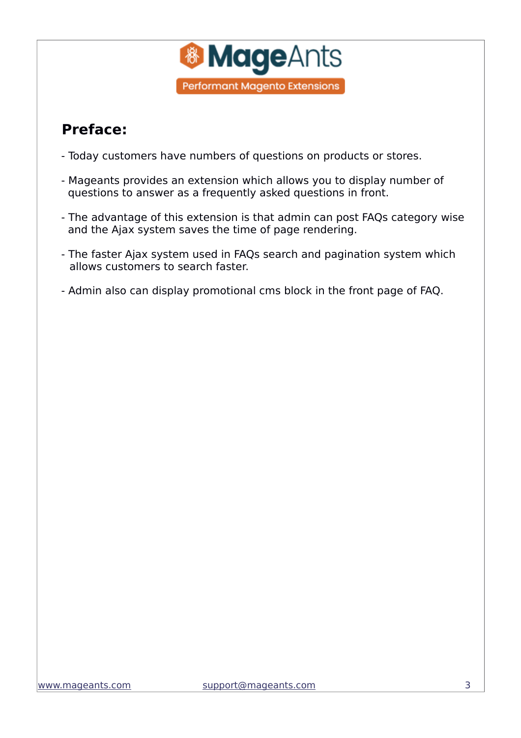

### <span id="page-2-0"></span> **Preface:**

- Today customers have numbers of questions on products or stores.
- Mageants provides an extension which allows you to display number of questions to answer as a frequently asked questions in front.
- The advantage of this extension is that admin can post FAQs category wise and the Ajax system saves the time of page rendering.
- The faster Ajax system used in FAQs search and pagination system which allows customers to search faster.
- Admin also can display promotional cms block in the front page of FAQ.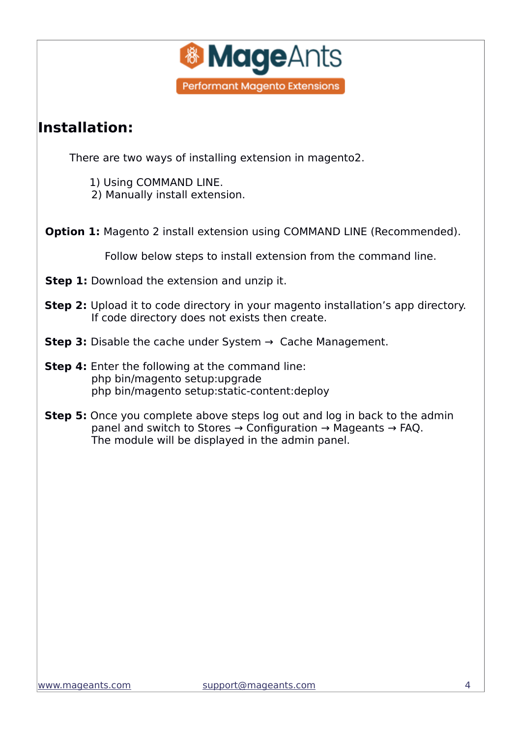

#### <span id="page-3-1"></span>**Installation:**

There are two ways of installing extension in magento2.

1) Using COMMAND LINE.

2) Manually install extension.

<span id="page-3-0"></span>**Option 1:** Magento 2 install extension using COMMAND LINE (Recommended).

Follow below steps to install extension from the command line.

- **Step 1:** Download the extension and unzip it.
- **Step 2:** Upload it to code directory in your magento installation's app directory. If code directory does not exists then create.
- **Step 3:** Disable the cache under System → Cache Management.
- **Step 4:** Enter the following at the command line: php bin/magento setup:upgrade php bin/magento setup:static-content:deploy
- **Step 5:** Once you complete above steps log out and log in back to the admin panel and switch to Stores → Configuration → Mageants → FAQ. The module will be displayed in the admin panel.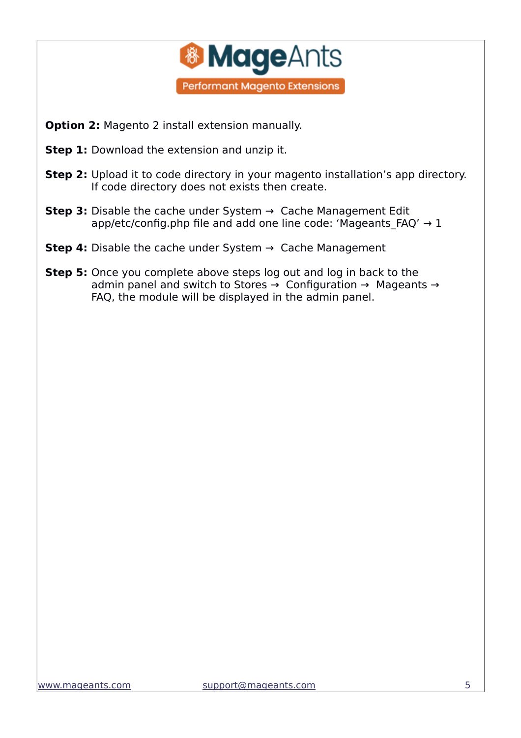

- <span id="page-4-0"></span> **Option 2:** Magento 2 install extension manually.
- **Step 1:** Download the extension and unzip it.
- **Step 2:** Upload it to code directory in your magento installation's app directory. If code directory does not exists then create.
- **Step 3:** Disable the cache under System → Cache Management Edit app/etc/config.php file and add one line code: 'Mageants FAQ'  $\rightarrow$  1
- **Step 4:** Disable the cache under System → Cache Management
- **Step 5:** Once you complete above steps log out and log in back to the admin panel and switch to Stores → Configuration → Mageants → FAQ, the module will be displayed in the admin panel.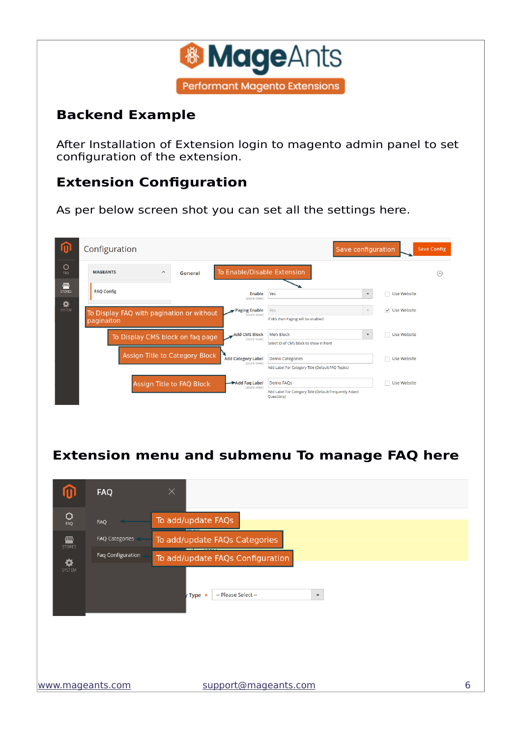

#### <span id="page-5-1"></span>**Backend Example**

After Installation of Extension login to magento admin panel to set configuration of the extension.

#### <span id="page-5-0"></span>**Extension Configuration**

As per below screen shot you can set all the settings here.

|                    | Configuration                                           |                                  |                                             |                                                                                          | Save configuration        |                          | <b>Save Config</b> |
|--------------------|---------------------------------------------------------|----------------------------------|---------------------------------------------|------------------------------------------------------------------------------------------|---------------------------|--------------------------|--------------------|
| O<br>FAQ           | <b>MAGEANTS</b><br>$\widehat{\phantom{a}}$              | General                          | To Enable/Disable Extension                 |                                                                                          |                           |                          | ∞                  |
| 伵<br><b>STORES</b> | <b>FAQ Config</b>                                       |                                  | Enable<br>[store view]                      | Yes                                                                                      | $\boldsymbol{\mathrm{v}}$ | Use Website<br>┓         |                    |
| ✿<br>SYSTEM        | To Display FAQ with pagination or without<br>paginaiton |                                  | Paging Enable<br><b>Istore view1</b>        | Yes<br>If YES then Paging will be enabled                                                |                           | <b>√</b> Use Website     |                    |
|                    | To Display CMS block on faq page                        |                                  | <b>Add CMS Block</b><br><b>Istore view1</b> | Men Block<br>Select ID of CMS block to show in front                                     | $\boldsymbol{\mathrm{v}}$ | Use Website<br>- 1       |                    |
|                    | Assign Title to Category Block                          |                                  | <b>Add Category Label</b><br>[store view]   | <b>Demo Categories</b><br>Add Label For Category Title (Default:FAQ Topics)              |                           | ┐<br>Use Website         |                    |
|                    |                                                         | <b>Assign Title to FAQ Block</b> | Add Faq Label<br>[store view]               | <b>Demo FAQs</b><br>Add Label For Category Title (Default:Frequently Asked<br>Ouestions) |                           | <b>Use Website</b><br>n. |                    |

#### **Extension menu and submenu To manage FAQ here**

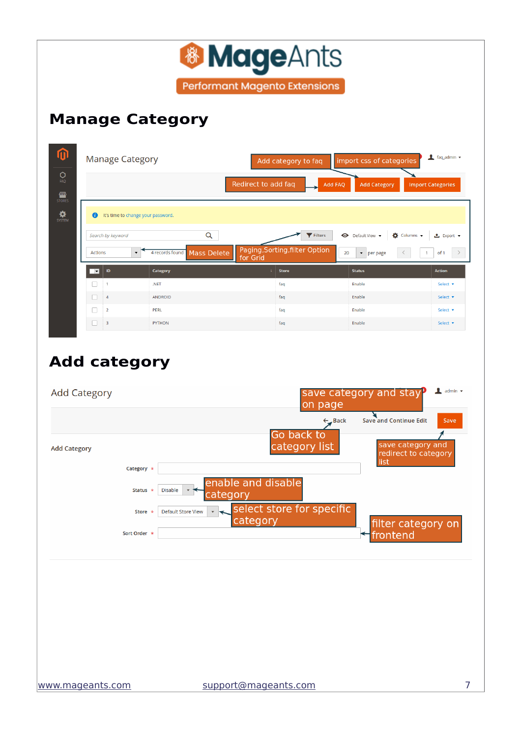| ⑪                                                                 |                                                               |                                            |                                                                                                              |                                                           |
|-------------------------------------------------------------------|---------------------------------------------------------------|--------------------------------------------|--------------------------------------------------------------------------------------------------------------|-----------------------------------------------------------|
|                                                                   | <b>Manage Category</b>                                        | Add category to faq                        | import css of categories                                                                                     | $\frac{1}{2}$ faq_admin $\sqrt{ }$                        |
| 0<br>FAQ                                                          |                                                               | Redirect to add faq                        | <b>Add FAQ</b><br><b>Add Category</b>                                                                        | <b>Import Categories</b>                                  |
| <b>TITLE</b><br>STORES                                            |                                                               |                                            |                                                                                                              |                                                           |
| $\mathbf{R}$<br>$\bullet$                                         | It's time to change your password.                            |                                            |                                                                                                              |                                                           |
| Search by keyword                                                 | Q                                                             | Filters                                    | Default View v<br>$\bullet$ Columns $\bullet$                                                                | <b>≛</b> Export ▼                                         |
| Actions                                                           | 4 records found<br><b>Mass Delete</b><br>$\blacktriangledown$ | Paging, Sorting, filter Option<br>for Grid | 20<br>$\blacktriangleright$ per page                                                                         | $\,>$<br>$\mathbf{1}$<br>of 1                             |
| $\blacksquare$<br>$\vert \mathbf{v} \vert$                        | Category                                                      | <b>Store</b>                               | <b>Status</b>                                                                                                | <b>Action</b>                                             |
| □<br>$\mathbf{1}$                                                 | .NET                                                          | faq                                        | Enable                                                                                                       | Select <b>v</b>                                           |
| O<br>$\overline{4}$                                               | <b>ANDROID</b>                                                | faq                                        | Enable                                                                                                       | Select v                                                  |
| $\Box$<br>$\overline{\mathbf{2}}$                                 | PERL                                                          | faq                                        | Enable                                                                                                       | Select v                                                  |
| □<br>3                                                            | <b>PYTHON</b>                                                 | faq                                        | Enable                                                                                                       | Select ▼                                                  |
|                                                                   |                                                               |                                            |                                                                                                              |                                                           |
| <b>Add category</b><br><b>Add Category</b><br><b>Add Category</b> |                                                               | Go back to<br>category list                | save category and stay<br>on page<br><b>Save and Continue Edit</b><br>$\leftarrow$ Back<br>save category and | $\triangle$ admin $\star$<br>Save<br>redirect to category |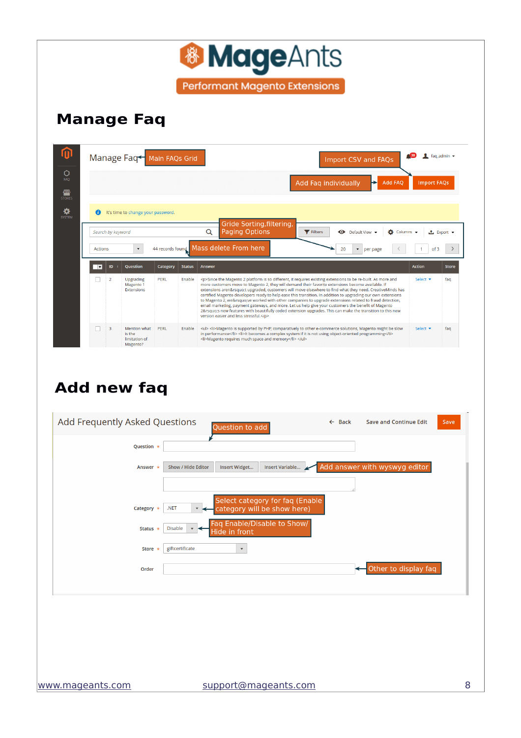|                          |                                                     |                   |                                    | Add Faq individually<br><b>Add FAQ</b><br><b>Import FAQs</b>                                                                                                                                                                                                                                                                                                                                                                                                                                                                                                                                                                                                                                                                                                                                                               |
|--------------------------|-----------------------------------------------------|-------------------|------------------------------------|----------------------------------------------------------------------------------------------------------------------------------------------------------------------------------------------------------------------------------------------------------------------------------------------------------------------------------------------------------------------------------------------------------------------------------------------------------------------------------------------------------------------------------------------------------------------------------------------------------------------------------------------------------------------------------------------------------------------------------------------------------------------------------------------------------------------------|
|                          |                                                     |                   |                                    | Gride Sorting, filtering,                                                                                                                                                                                                                                                                                                                                                                                                                                                                                                                                                                                                                                                                                                                                                                                                  |
| <b>Actions</b>           | $\blacktriangledown$                                |                   |                                    | Q<br><b>Paging Options</b><br><b>Y</b> Filters<br><b>O</b> Default View v<br>Columns v<br><mark>±</mark> Export ▼<br>Mass delete From here<br>20<br>of 3<br>$\blacktriangleright$ per page                                                                                                                                                                                                                                                                                                                                                                                                                                                                                                                                                                                                                                 |
| ID                       | Question                                            | Category          | <b>Status</b>                      | <b>Action</b><br>Answer                                                                                                                                                                                                                                                                                                                                                                                                                                                                                                                                                                                                                                                                                                                                                                                                    |
| $\overline{2}$           | Upgrading<br>Magento 1<br>Extensions                | PERL              | Enable                             | <p>Since the Magento 2 platform is so different, it requires existing extensions to be re-built. As more and<br/>Select v<br/>more customers move to Magento 2, they will demand their favorite extensions become available. If<br/>extensions aren't upgraded, customers will move elsewhere to find what they need. CreativeMinds has<br/>certified Magento developers ready to help ease this transition. In addition to upgrading our own extensions<br/>to Magento 2, we've worked with other companies to upgrade extensions related to fraud detection,<br/>email marketing, payment gateways, and more. Let us help give your customers the benefit of Magento<br/>2's new features with beautifully coded extension upgrades. This can make the transition to this new<br/>version easier and less stressful.</p> |
| $\overline{\phantom{a}}$ | Mention what<br>is the<br>limitation of<br>Magento? | PERL              | <b>Fnable</b>                      | <ul><li>Magento is supported by PHP, comparatively to other e-commerce solutions, Magento might be slow<br/>Select v<br/>in performance</li><li>It becomes a complex system if it is not using object-oriented programming</li><br/><li>Magento requires much space and memory</li></ul>                                                                                                                                                                                                                                                                                                                                                                                                                                                                                                                                   |
|                          |                                                     | Search by keyword | It's time to change your password. | 44 records found                                                                                                                                                                                                                                                                                                                                                                                                                                                                                                                                                                                                                                                                                                                                                                                                           |

| Add Frequently Asked Questions |                                            |                           | Question to add      |                                 | $\leftarrow$ Back | <b>Save and Continue Edit</b> | Save |
|--------------------------------|--------------------------------------------|---------------------------|----------------------|---------------------------------|-------------------|-------------------------------|------|
|                                | Question *                                 |                           |                      |                                 |                   |                               |      |
|                                | Answer *                                   | <b>Show / Hide Editor</b> | Insert Widget        | Insert Variable                 |                   | Add answer with wyswyg editor |      |
|                                |                                            |                           |                      | Select category for faq (Enable |                   |                               |      |
|                                | .NET<br>Category *                         |                           |                      | category will be show here)     |                   |                               |      |
|                                | <b>Disable</b><br>Status $\star$           | $\overline{\mathbf{v}}$   | Hide in front        | Faq Enable/Disable to Show/     |                   |                               |      |
|                                | giftcertificate<br><b>Store</b><br>$\star$ |                           | $\blacktriangledown$ |                                 |                   |                               |      |
|                                | Order                                      |                           |                      |                                 |                   | Other to display faq          |      |
|                                |                                            |                           |                      |                                 |                   |                               |      |
|                                |                                            |                           |                      |                                 |                   |                               |      |
|                                |                                            |                           |                      |                                 |                   |                               |      |
|                                |                                            |                           |                      |                                 |                   |                               |      |
| www.mageants.com               |                                            |                           |                      | support@mageants.com            |                   |                               | 8    |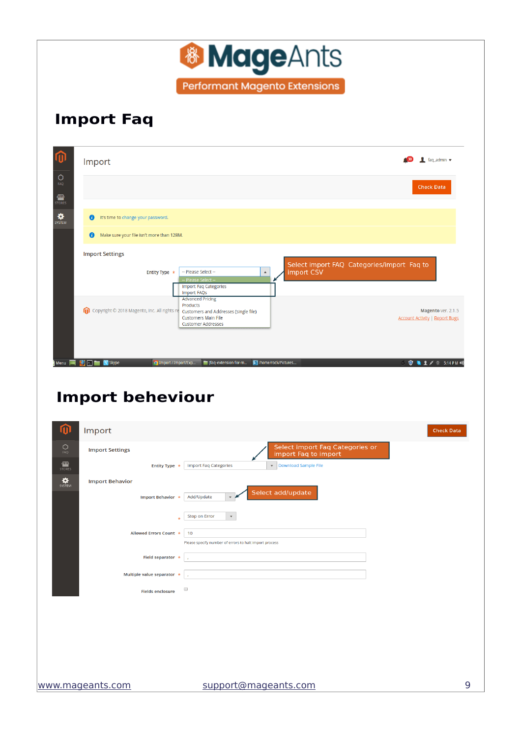

### **Import Faq**

| 价                                    | $\bullet$ faq admin $\bullet$<br>Import                                                                                                                                                                                                                  |  |
|--------------------------------------|----------------------------------------------------------------------------------------------------------------------------------------------------------------------------------------------------------------------------------------------------------|--|
| $\circ$<br>FAQ<br>伵<br><b>STORES</b> | <b>Check Data</b>                                                                                                                                                                                                                                        |  |
| ♦<br>SYSTEM                          | It's time to change your password.<br>A                                                                                                                                                                                                                  |  |
|                                      | Make sure your file isn't more than 128M.<br>A                                                                                                                                                                                                           |  |
|                                      | <b>Import Settings</b><br>Select import FAQ Categories/import Faq to<br>import CSV<br>-- Please Select --<br>Entity Type *<br>$\blacktriangle$<br>-- Please Select --<br><b>Import Faq Categories</b><br><b>Import FAQs</b>                              |  |
|                                      | <b>Advanced Pricing</b><br>Products<br>Copyright © 2018 Magento, Inc. All rights re Customers and Addresses (single file)<br>⋒<br>Magento ver. 2.1.5<br><b>Customers Main File</b><br><b>Account Activity   Report Bugs</b><br><b>Customer Addresses</b> |  |
| Menu <b>M</b>                        | [faq-extension-for-m<br>/home/rock/Pictures<br><b>● ■ 1 / ※ 5:14 PM 40</b><br>Set<br>C Import / Import/Exp<br><b>S</b> Skype                                                                                                                             |  |

# **Import beheviour**

| $\bf \Omega$<br>Import                                      | <b>Check Data</b>                                                                                            |
|-------------------------------------------------------------|--------------------------------------------------------------------------------------------------------------|
| $\bigcirc_{\text{FAQ}}$<br><b>Import Settings</b>           | Select import Faq Categories or<br>import Faq to import                                                      |
| $\frac{d\mathbf{w}}{d\mathbf{w}}$<br>Entity Type *          | Download Sample File<br><b>Import Faq Categories</b>                                                         |
| $\mathbf{R}$<br><b>Import Behavior</b><br>Import Behavior * | Select add/update<br>Add/Update<br>$\mathbf{v}$ .                                                            |
| Allowed Errors Count *                                      | <b>Stop on Error</b><br>$\blacktriangledown$<br>10<br>Please specify number of errors to halt import process |
| Field separator $*$                                         |                                                                                                              |
| Multiple value separator *                                  | $\mathbf{r}$                                                                                                 |
| <b>Fields enclosure</b>                                     | $\Box$                                                                                                       |
|                                                             |                                                                                                              |
|                                                             |                                                                                                              |
|                                                             |                                                                                                              |
|                                                             |                                                                                                              |
| www.mageants.com                                            | 9<br>support@mageants.com                                                                                    |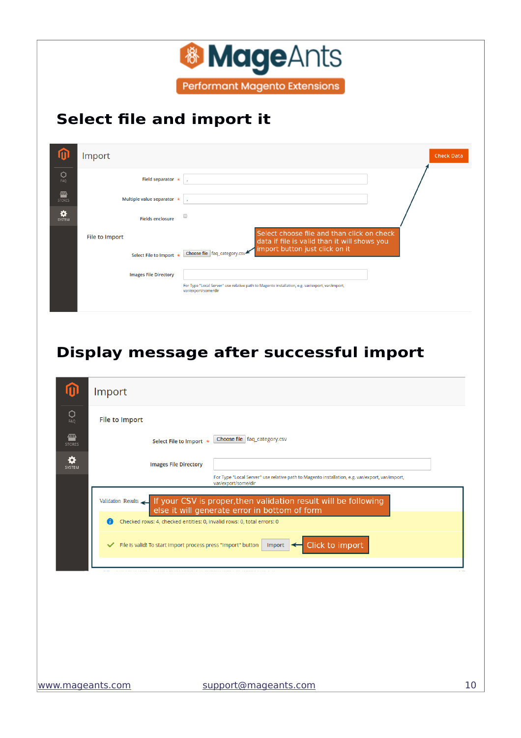

# **Select file and import it**

|                    | Import                                           | <b>Check Data</b>                                                                                                                                              |  |
|--------------------|--------------------------------------------------|----------------------------------------------------------------------------------------------------------------------------------------------------------------|--|
| $\circ$<br>FAQ     | Field separator $*$                              |                                                                                                                                                                |  |
| ▥<br><b>STORES</b> | Multiple value separator *                       |                                                                                                                                                                |  |
| ❖<br>SYSTEM        | <b>Fields enclosure</b>                          | □                                                                                                                                                              |  |
|                    | <b>File to Import</b><br>Select File to Import * | Select choose file and than click on check<br>data if file is valid than it will shows you<br>import button just click on it<br>Choose file   faq_category.csv |  |
|                    | <b>Images File Directory</b>                     | For Type "Local Server" use relative path to Magento installation, e.g. var/export, var/import,<br>var/export/some/dir                                         |  |

# **Display message after successful import**

|                    | Import                                                                                                                              |
|--------------------|-------------------------------------------------------------------------------------------------------------------------------------|
| 0<br>FAO           | <b>File to Import</b>                                                                                                               |
| ▥<br><b>STORES</b> | Choose file   faq_category.csv<br>Select File to Import *                                                                           |
| ö<br>SYSTEM        | <b>Images File Directory</b>                                                                                                        |
|                    | For Type "Local Server" use relative path to Magento installation, e.g. var/export, var/import,<br>var/export/some/dir              |
|                    | Validation Results If your CSV is proper, then validation result will be following<br>else it will generate error in bottom of form |
|                    | Checked rows: 4, checked entities: 0, invalid rows: 0, total errors: 0                                                              |
|                    | Click to import<br>File is valid! To start import process press "Import" button<br>✓<br>Import                                      |
|                    |                                                                                                                                     |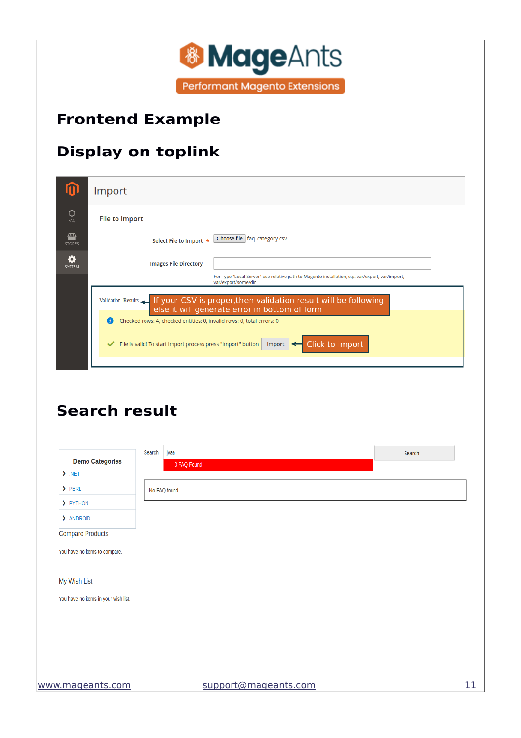

### <span id="page-10-1"></span>**Frontend Example**

# **Display on toplink**

|                    | Import                                                                                                                              |
|--------------------|-------------------------------------------------------------------------------------------------------------------------------------|
| Ω<br>FAQ           | <b>File to Import</b>                                                                                                               |
| ▥<br><b>STORES</b> | Choose file   faq_category.csv<br>Select File to Import *                                                                           |
| ö<br>SYSTEM        | <b>Images File Directory</b>                                                                                                        |
|                    | For Type "Local Server" use relative path to Magento installation, e.g. var/export, var/import,<br>var/export/some/dir              |
|                    | Validation Results If your CSV is proper, then validation result will be following<br>else it will generate error in bottom of form |
|                    | Checked rows: 4, checked entities: 0, invalid rows: 0, total errors: 0<br>G.                                                        |
|                    | Click to import<br>File is valid! To start import process press "Import" button<br>$\checkmark$<br><b>Import</b>                    |
|                    |                                                                                                                                     |

### <span id="page-10-0"></span>**Search result**

| <b>Demo Categories</b>               | Search<br>jvaa       | Search |
|--------------------------------------|----------------------|--------|
| $\sum_{n=1}^{\infty}$                | 0 FAQ Found          |        |
| $\sum$ PERL                          | No FAQ found         |        |
| > PYTHON                             |                      |        |
| > ANDROID                            |                      |        |
| <b>Compare Products</b>              |                      |        |
| You have no items to compare.        |                      |        |
|                                      |                      |        |
| My Wish List                         |                      |        |
| You have no items in your wish list. |                      |        |
|                                      |                      |        |
|                                      |                      |        |
|                                      |                      |        |
|                                      |                      |        |
|                                      |                      |        |
| www.mageants.com                     | support@mageants.com |        |